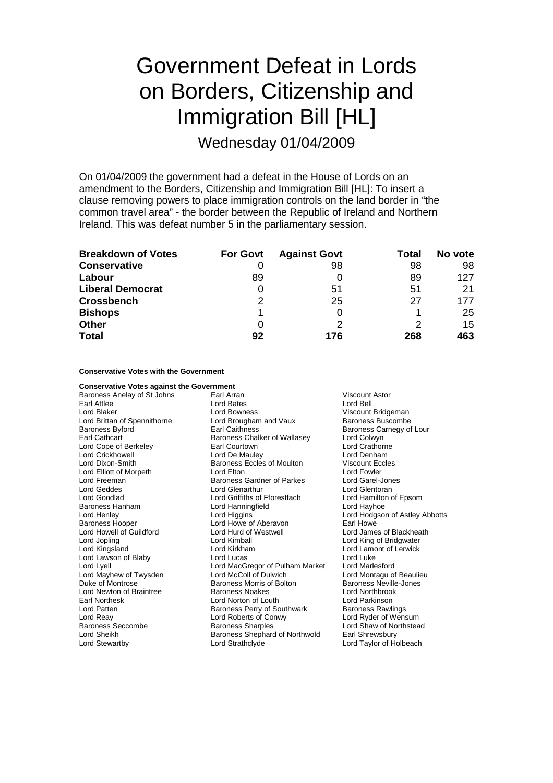## Government Defeat in Lords on Borders, Citizenship and Immigration Bill [HL]

Wednesday 01/04/2009

On 01/04/2009 the government had a defeat in the House of Lords on an amendment to the Borders, Citizenship and Immigration Bill [HL]: To insert a clause removing powers to place immigration controls on the land border in "the common travel area" - the border between the Republic of Ireland and Northern Ireland. This was defeat number 5 in the parliamentary session.

| <b>Breakdown of Votes</b> | <b>For Govt</b> | <b>Against Govt</b> | <b>Total</b> | No vote |
|---------------------------|-----------------|---------------------|--------------|---------|
| <b>Conservative</b>       |                 | 98                  | 98           | 98      |
| Labour                    | 89              |                     | 89           | 127     |
| <b>Liberal Democrat</b>   |                 | 51                  | 51           | 21      |
| <b>Crossbench</b>         | 2               | 25                  | 27           | 177     |
| <b>Bishops</b>            |                 | 0                   |              | 25      |
| <b>Other</b>              | 0               | ႒                   |              | 15      |
| <b>Total</b>              | 92              | 176                 | 268          | 463     |

## **Conservative Votes with the Government**

**Conservative Votes against the Government**<br>Baroness Anelay of St Johns [1767] Earl Arran Baroness Anelay of St Johns Earl Arran Viscount Astor Earl Attlee **Contract Early Contract Contract Contract Contract Contract Contract Contract Contract Contract Contract Contract Contract Contract Contract Contract Contract Contract Contract Contract Contract Contract Contr** Lord Brittan of Spennithorne Baroness Byford **Earl Caithness** Exercise Baroness Carnegy of Lour Earl Cathcart **Baroness Chalker of Wallasey** Lord Colwyn Lord Cope of Berkeley **Earl Courtown**<br>
Lord Crickhowell **Lord Crathorne**<br>
Lord Crickhowell **Lord Crathorne** Lord Crickhowell Lord Dixon-Smith **Baroness Eccles of Moulton** Viscount Eccles<br>
Lord Elliott of Morpeth **Baroness Eccles of Moulton** Viscount Eccles Lord Elliott of Morpeth Lord Elton Lord Freeman Baroness Gardner of Parkes Lord Garel-Jones Lord Goodlad Lord Griffiths of Fforestfach Lord Hamilton of Epsom Baroness Hanham Lord Hanningfield Lord Hayhoe Lord Henley **Lord Higgins** Lord Howe of Aberavon<br>
Baroness Hooper **Lord Howe of Aberavon** Earl Howe **Canada Example 2** Lord Howell of Guildford Lord Hurd of Westwell Lord James of Blackheath Lord Jopling Lord Kimball Lord King of Bridgwater Lord Kingsland Lord Kirkham Lord Lamont of Lerwick Lord Lawson of Blaby **Lord Lucas** Lord Lucas Lord Lucas Lord Luke<br>
Lord Lord Lord MacGregor of Pulham Market Lord Marlesford Lord Lyell<br>
Lord Mayhew of Twysden<br>
Lord McColl of Dulwich Lord Mayhew of Twysden Lord McColl of Dulwich Lord Montagu of Beaulieu Lord Newton of Braintree Baroness Noakes Lord Northbrook Earl Northesk Lord Norton of Louth Lord Parkinson Lord Patten **Baroness Perry of Southwark** Baroness Rawlings<br>
Lord Reav **Baroness Perry of Southwark** Baroness Rawlings<br>
Lord Ryder of Wensum Lord Reay Lord Roberts of Conwy<br>
Baroness Seccombe Baroness Sharples Baroness Seccombe Baroness Sharples Lord Shaw of Northstead<br>
Lord Sheikh Baroness Shephard of Northwold Earl Shrewsbury

Lord Bowness<br>
Lord Brougham and Vaux<br>
Baroness Buscombe Lord Glenarthur Lord Howe of Aberavon Baroness Morris of Bolton Lord Sheikh Baroness Shephard of Northwold<br>
Lord Stewartby **Baroness Shephard of Northwold** Lord Strathclyde Lord Taylor of Holbeach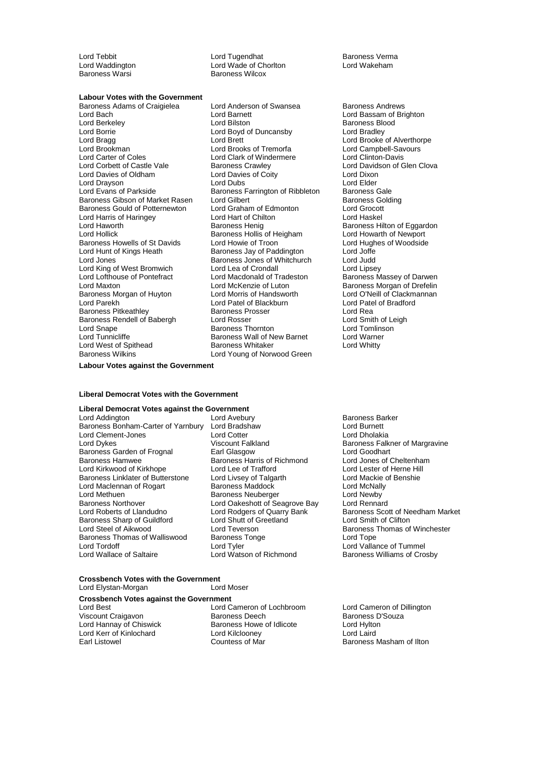Lord Tebbit Lord Tugendhat Cord Tugendhat Baroness Verma<br>
Lord Waddington Cord Wade of Chorlton Lord Wakeham Lord Waddington **Lord Wade of Chorlton Chorles**<br>
Baroness Warsi **Chamber Chorles Wakeham**<br>
Baroness Wilcox Baroness Wilcox

## **Labour Votes with the Government**

Lord Bach Lord Barnett Cord Bassam of Brighton<br>
Lord Berkeley Cord Bilston<br>
Lord Barnets Blood Barnett Barnets Blood Lord Berkeley **Lord Bilston** Lord Bilston **Baroness Blood**<br>
Lord Baroness Blood<br>
Lord Baroness Blood<br>
Lord Baroness Blood<br>
Lord Baroness Blood Lord Bragg Lord Brett Lord Brett Lord Brett Lord Brooke of Alverthorpe<br>
Lord Brooke of Alverthorpe<br>
Lord Brookman Lord Brooks of Tremorfa Lord Campbell-Savours Lord Brooks of Tremorfa Lord Brooks of Tremorfa Lord Campbell-Savours Cord Campbell-Savours Lord Clinton-Davis<br>
Lord Carter of Coles Lord Clark of Windermere Lord Clinton-Davis Lord Carter of Coles<br>
Lord Carter of Coles<br>
Lord Corbett of Castle Vale<br>
Baroness Crawley Lord Davies of Oldham Lord Davies of Coity Lord Dixon Lord Drayson Lord Dubs Lord Elder Baroness Gibson of Market Rasen Lord Gilbert **Baroness Golding Constructs** Baroness Gould of Potternewton Lord Graham of Edmonton Lord Grocott Baroness Gould of Potternewton Lord Graham of Edr<br>
Lord Harris of Haringey Lord Hart of Chilton Lord Harris of Haringey Lord Hart of Chilton Lord Haskel Lord Hams Streams, Participate Baroness Henig Baroness Hilton of Eggardon Baroness Hilton of Eggardon Lord Hollick **Baroness Hollis of Heigham** Lord Howarth of Newport<br>Baroness Howells of St Davids Lord Howie of Troon **Lord Hughes of Woodside** Baroness Howells of St Davids Lord Howie of Troon Lord Hugh<br>Lord Hunt of Kings Heath Baroness Jay of Paddington Lord Joffe Lord Jones Baroness Jones of Whitchurch Lord Judd Lord King of West Bromwich Lord Lea of Crondall Lord Lord Lipsey<br>
Lord Lofthouse of Pontefract Lord Macdonald of Tradeston Baroness Massey of Darwen Lord Lofthouse of Pontefract Lord Macdonald of Tradeston<br>Lord Maxton Baroness Lord McKenzie of Luton Baroness Morgan of Huyton Lord Morris of Handsworth Lord O'Neill of Clackm<br>
Lord Parekh Cord Patel of Blackburn<br>
Lord Patel of Bradford er Baroness Prikeathley Maroness Prosser Cord Rea<br>Baroness Rendell of Babergh Lord Rosser Cord Cord Smith of Leigh Baroness Rendell of Babergh Lord Snape **Baroness Thornton** Cord Snape Lord Tomlinson<br>
Lord Tunnicliffe **Baroness Wall of New Barnet** Lord Warner Lord West of Spithead Baroness Wilkins Lord Young of Norwood Green

Baroness Adams of Craigielea Lord Anderson of Swansea Baroness Andrews Lord Boyd of Duncansby **Baroness Farrington of Ribbleton Baroness Gale**<br>
Lord Gilbert **Baroness Golding** Lord Hunt of Kings Heath Baroness Jay of Paddington Lord Joffe Lord Patel of Blackburn Lord Patel Cord Patel Cord Patel Baroness Prosser Exaroness Wall of New Barnet Lord Warne<br>
Baroness Whitaker Lord Whitty

Lord Davidson of Glen Clova Baroness Morgan of Drefelin<br>Lord O'Neill of Clackmannan

**Labour Votes against the Government**

## **Liberal Democrat Votes with the Government**

## **Liberal Democrat Votes against the Government**

Lord Addington **Lord Avebury** Lord Avebury **Baroness Barker**<br>
Baroness Bonham-Carter of Yarnbury Lord Bradshaw **Baroness Bonham-Carter of Yarnbury Lord Bradshaw** Baroness Bonham-Carter of Yarnbury Lord Bradshaw Lord Burnett Lord Clement-Jones<br>
Lord Dykes<br>
Lord Dykes<br>
Lord Clement Clement Clement Clement Clement Clement Clement Clement Clement Clement Clement Clement Baroness Garden of Frognal Earl Glasgow Lord Goodhart Lord Kirkwood of Kirkhope Lord Lee of Trafford Lord Lester of Herne Hill<br>
Baroness Linklater of Butterstone Lord Livsey of Talgarth Lord Mackie of Benshie Baroness Linklater of Butterstone Lord Livsey of Talgarth Cord Mackie Lord Mackie of Benshie of Benshield Bensh<br>Lord Maclennan of Rogart Cord Benshield Benshield Benshield Benshield Benshield Benshield Benshield Benshield Lord Maclennan of Rogart Baroness Maddock Baroness Lord McNall<br>Lord Methuen Baroness Neuberger Lord Newby Lord Methuen <sup>M</sup> Baroness Neuberger Methuen Lord Newby<br>
Baroness Northover Lord Oakeshott of Seagrove Bay Lord Rennard Baroness Northover **Lord Oakeshott of Seagrove Bay** Lord Oakeshott of Seagrove Bay<br>Lord Roberts of Llandudno Lord Rodgers of Quarry Bank Baroness Sharp of Guildford Lord Shutt of G<br>Lord Steel of Aikwood Lord Teverson Baroness Thomas of Walliswood Baroness<br>
Lord Tordoff Lord Tyler Lord Tordoff Lord Tordoff Lord Tordoff Lord Tordoff Lord Tordoff Lord Tordoff Lord Tordoff Lord Vallance of Tummel<br>Lord Wallace of Saltaire Lord Watson of Richmond Baroness Williams of Cro

Baroness Harris of Richmond

# Viscount Falkland Baroness Falkner of Margravine<br>
Earl Glasgow<br>
Lord Goodhart Lord Rodgers of Quarry Bank Baroness Scott of Needham Market<br>
Lord Shutt of Greetland Lord Smith of Clifton Lord Teverson Baroness Thomas of Winchester<br>Baroness Tonge Lord Tope<br>Lord Tope **Baroness Williams of Crosby**

#### **Crossbench Votes with the Government**<br> **Cord Elystan-Morgan Lord Moser** Lord Elystan-Morgan

## **Crossbench Votes against the Government**

Lord Hannay of Chiswick Baroness Howe<br>
Lord Kerr of Kinlochard<br>
Lord Kilclooney

Lord Best **Lord Cameron of Lochbroom** Lord Cameron of Dillington<br>
Viscount Craigavon **Lord Cameron Baroness Deech** Baroness D'Souza Viscount Craigavon **Baroness Deech Baroness Deech** Baroness D<br> **Containation Baroness Howe of Idlicote** Lord Hylton Lord Kerr of Kinlochard Lord Kilclooney Lord Laird Earl Listowel Countess of Mar Baroness Masham of Ilton